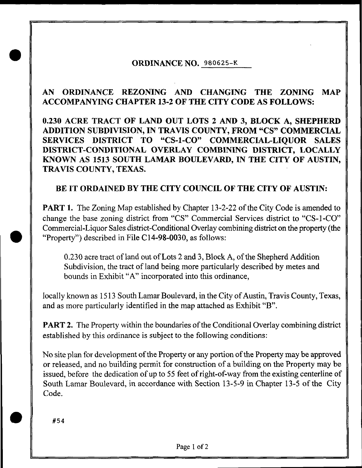## ORDINANCE NO. 980625-K

# AN ORDINANCE REZONING AND CHANGING THE ZONING MAP ACCOMPANYING CHAPTER 13-2 OF THE CITY CODE AS FOLLOWS:

0.230 ACRE TRACT OF LAND OUT LOTS 2 AND 3, BLOCK A, SHEPHERD ADDITION SUBDIVISION, IN TRAVIS COUNTY, FROM "CS" COMMERCIAL SERVICES DISTRICT TO "CS-l-CO" COMMERCIAL-LIQUOR SALES DISTRICT-CONDITIONAL OVERLAY COMBINING DISTRICT, LOCALLY KNOWN AS 1513 SOUTH LAMAR BOULEVARD, IN THE CITY OF AUSTIN, TRAVIS COUNTY, TEXAS.

## BE IT ORDAINED BY THE CITY COUNCIL OF THE CITY OF AUSTIN:

**PART 1.** The Zoning Map established by Chapter 13-2-22 of the City Code is amended to change the base zoning district from "CS" Commercial Services district to "CS-l-CO" Commercial-Liquor Sales district-Conditional Overlay combining district on the property (the "Property") described in File C14-98-0030, as follows:

0.230 acre tract of land out of Lots 2 and 3, Block A, of the Shepherd Addition Subdivision, the tract of land being more particularly described by metes and bounds in Exhibit "A" incorporated into this ordinance,

locally known as 1513 South Lamar Boulevard, in the City of Austin, Travis County, Texas, and as more particularly identified in the map attached as Exhibit "B".

**PART 2.** The Property within the boundaries of the Conditional Overlay combining district established by this ordinance is subject to the following conditions:

No site plan for development of the Property or any portion of the Property may be approved or released, and no building permit for construction of a building on the Property may be issued, before the dedication of up to 55 feet of right-of-way from the existing centerline of South Lamar Boulevard, in accordance with Section 13-5-9 in Chapter 13-5 of the City Code.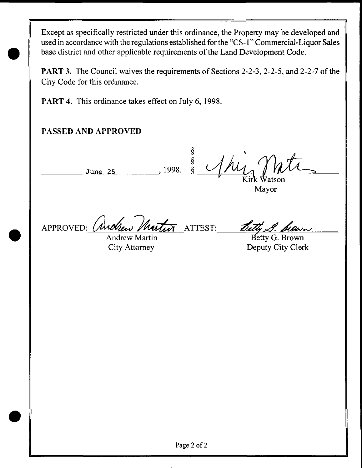Except as specifically restricted under this ordinance, the Property may be developed and used in accordance with the regulations established for the "CS-1" Commercial-Liquor Sales base district and other applicable requirements of the Land Development Code.

PART 3. The Council waives the requirements of Sections 2-2-3, 2-2-5, and 2-2-7 of the City Code for this ordinance.

PART 4. This ordinance takes effect on July 6, 1998.

# PASSED AND APPROVED

 $\frac{\S}{\S}$ <br>June 25 , 1998.  $\frac{\S}{\S}$ Kirk Watson Mayor

APPROVED: *(indrew Martin* ATTEST: <u>Bet</u>

Andrew Martin City Attorney

Betty G. Brown

Deputy City Clerk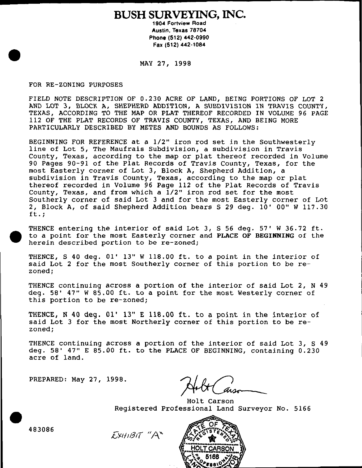BUSH SURVEYING, INC.

1904 Fortview Road Austin, Texas 78704 Phone (512) 442-0990 Fax (512)442-1084

MAY 27, 1998

FOR RE-ZONING PURPOSES

FIELD NOTE DESCRIPTION OF 0.230 ACRE OF LAND, BEING PORTIONS OF LOT 2 AND LOT 3, BLOCK A, SHEPHERD ADDITION, A SUBDIVISION IN TRAVIS COUNTY, TEXAS, ACCORDING TO THE MAP OR PLAT THEREOF RECORDED IN VOLUME 96 PAGE 112 OF THE PLAT RECORDS OF TRAVIS COUNTY, TEXAS, AND BEING MORE PARTICULARLY DESCRIBED BY METES AND BOUNDS AS FOLLOWS:

BEGINNING FOR REFERENCE at a 1/2" iron rod set in the Southwesterly line of Lot 5, The Maufrais Subdivision, a subdivision in Travis County, Texas, according to the map or plat thereof recorded in Volume 90 Pages 90-91 of the Plat Records of Travis County, Texas, for the most Easterly corner of Lot 3, Block A, Shepherd Addition, a subdivision in Travis County, Texas, according to the map or plat thereof recorded in Volume 96 Page 112 of the Plat Records of Travis County, Texas, and from which a 1/2" iron rod set for the most Southerly corner of said Lot 3 and for the most Easterly corner of Lot 2, Block A, of said Shepherd Addition bears S 29 deg. 10' 00" W 117.30 ft.;

THENCE entering the interior of said Lot 3, S 56 deg. 57' W 36.72 ft. to a point for the most Easterly corner and PLACE OF BEGINNING of the herein described portion to be re-zoned;

THENCE, S 40 deg. 01' 13" W 118.00 ft. to a point in the interior of said Lot 2 for the most Southerly corner of this portion to be rezoned;

THENCE continuing across a portion of the interior of said Lot 2, N 49 deg. 58' 47" W 85.00 ft. to a point for the most Westerly corner of this portion to be re-zoned;

THENCE, N 40 deg. 01' 13" E 118.00 ft. to a point in the interior of said Lot 3 for the most Northerly corner of this portion to be rezoned;

THENCE continuing across a portion of the interior of said Lot 3, S 49 deg. 58' 47" E 85.00 ft. to the PLACE OF BEGINNING, containing 0.230 acre of land.

 $E$ XHIBIT "A"

PREPARED: May 27, 1998.

Holt Carson Registered Professional Land Surveyor No. 5166

483086

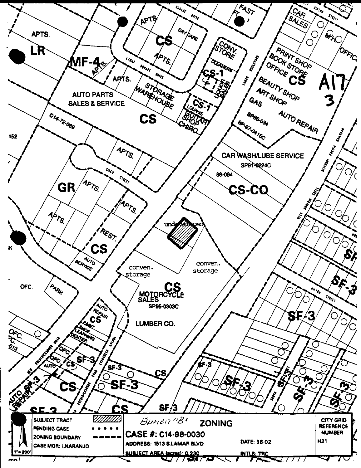